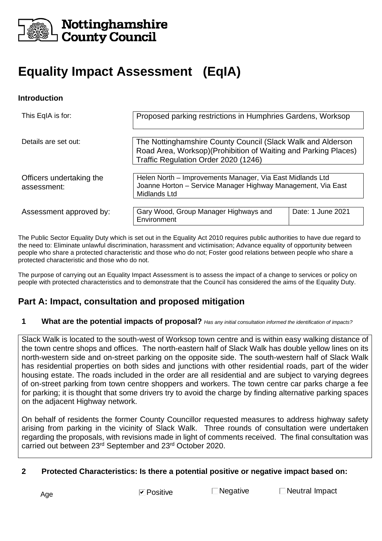

## Nottinghamshire **County Council**

# **Equality Impact Assessment (EqIA)**

#### **Introduction**

| This EqIA is for:                       | Proposed parking restrictions in Humphries Gardens, Worksop                                                                                                            |                   |  |
|-----------------------------------------|------------------------------------------------------------------------------------------------------------------------------------------------------------------------|-------------------|--|
| Details are set out:                    | The Nottinghamshire County Council (Slack Walk and Alderson<br>Road Area, Worksop) (Prohibition of Waiting and Parking Places)<br>Traffic Regulation Order 2020 (1246) |                   |  |
| Officers undertaking the<br>assessment: | Helen North – Improvements Manager, Via East Midlands Ltd<br>Joanne Horton - Service Manager Highway Management, Via East<br><b>Midlands Ltd</b>                       |                   |  |
| Assessment approved by:                 | Gary Wood, Group Manager Highways and<br>Environment                                                                                                                   | Date: 1 June 2021 |  |

The Public Sector Equality Duty which is set out in the Equality Act 2010 requires public authorities to have due regard to the need to: Eliminate unlawful discrimination, harassment and victimisation; Advance equality of opportunity between people who share a protected characteristic and those who do not; Foster good relations between people who share a protected characteristic and those who do not.

The purpose of carrying out an Equality Impact Assessment is to assess the impact of a change to services or policy on people with protected characteristics and to demonstrate that the Council has considered the aims of the Equality Duty.

## **Part A: Impact, consultation and proposed mitigation**

#### **1 What are the potential impacts of proposal?** *Has any initial consultation informed the identification of impacts?*

Slack Walk is located to the south-west of Worksop town centre and is within easy walking distance of the town centre shops and offices. The north-eastern half of Slack Walk has double yellow lines on its north-western side and on-street parking on the opposite side. The south-western half of Slack Walk has residential properties on both sides and junctions with other residential roads, part of the wider housing estate. The roads included in the order are all residential and are subject to varying degrees of on-street parking from town centre shoppers and workers. The town centre car parks charge a fee for parking; it is thought that some drivers try to avoid the charge by finding alternative parking spaces on the adjacent Highway network.

On behalf of residents the former County Councillor requested measures to address highway safety arising from parking in the vicinity of Slack Walk. Three rounds of consultation were undertaken regarding the proposals, with revisions made in light of comments received. The final consultation was carried out between 23rd September and 23rd October 2020.

#### **2 Protected Characteristics: Is there a potential positive or negative impact based on:**

Age  $\blacksquare$  Positive  $\blacksquare$  Negative  $\blacksquare$  Neutral Impact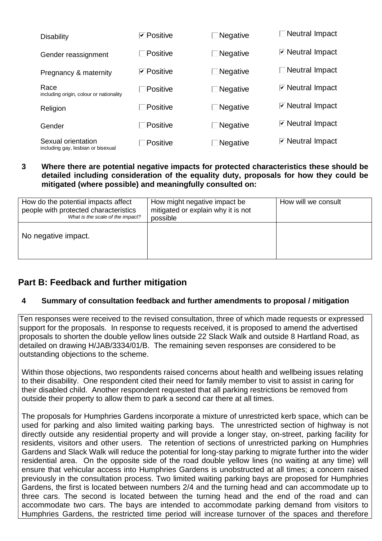| <b>Disability</b>                                        | <b>⊽</b> Positive | $\Box$ Negative | $\Box$ Neutral Impact                   |
|----------------------------------------------------------|-------------------|-----------------|-----------------------------------------|
| Gender reassignment                                      | $\Box$ Positive   | $\Box$ Negative | <b><math>\Box</math></b> Neutral Impact |
| Pregnancy & maternity                                    | <b>⊡</b> Positive | $\Box$ Negative | $\Box$ Neutral Impact                   |
| Race<br>including origin, colour or nationality          | $\Box$ Positive   | $\Box$ Negative | <b><math>\Box</math></b> Neutral Impact |
| Religion                                                 | $\Box$ Positive   | $\Box$ Negative | <b><math>\Box</math></b> Neutral Impact |
| Gender                                                   | $\Box$ Positive   | $\Box$ Negative | <b>⊡</b> Neutral Impact                 |
| Sexual orientation<br>including gay, lesbian or bisexual | $\Box$ Positive   | Negative        | <b><math>\Box</math></b> Neutral Impact |

#### **3 Where there are potential negative impacts for protected characteristics these should be detailed including consideration of the equality duty, proposals for how they could be mitigated (where possible) and meaningfully consulted on:**

| How do the potential impacts affect<br>people with protected characteristics<br>What is the scale of the impact? | How might negative impact be<br>mitigated or explain why it is not<br>possible | How will we consult |
|------------------------------------------------------------------------------------------------------------------|--------------------------------------------------------------------------------|---------------------|
| No negative impact.                                                                                              |                                                                                |                     |

## **Part B: Feedback and further mitigation**

#### **4 Summary of consultation feedback and further amendments to proposal / mitigation**

Ten responses were received to the revised consultation, three of which made requests or expressed support for the proposals. In response to requests received, it is proposed to amend the advertised proposals to shorten the double yellow lines outside 22 Slack Walk and outside 8 Hartland Road, as detailed on drawing H/JAB/3334/01/B. The remaining seven responses are considered to be outstanding objections to the scheme.

Within those objections, two respondents raised concerns about health and wellbeing issues relating to their disability. One respondent cited their need for family member to visit to assist in caring for their disabled child. Another respondent requested that all parking restrictions be removed from outside their property to allow them to park a second car there at all times.

The proposals for Humphries Gardens incorporate a mixture of unrestricted kerb space, which can be used for parking and also limited waiting parking bays. The unrestricted section of highway is not directly outside any residential property and will provide a longer stay, on-street, parking facility for residents, visitors and other users. The retention of sections of unrestricted parking on Humphries Gardens and Slack Walk will reduce the potential for long-stay parking to migrate further into the wider residential area. On the opposite side of the road double yellow lines (no waiting at any time) will ensure that vehicular access into Humphries Gardens is unobstructed at all times; a concern raised previously in the consultation process. Two limited waiting parking bays are proposed for Humphries Gardens, the first is located between numbers 2/4 and the turning head and can accommodate up to three cars. The second is located between the turning head and the end of the road and can accommodate two cars. The bays are intended to accommodate parking demand from visitors to Humphries Gardens, the restricted time period will increase turnover of the spaces and therefore